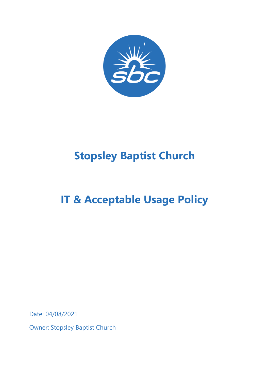

# **Stopsley Baptist Church**

# **IT & Acceptable Usage Policy**

Date: 04/08/2021

Owner: Stopsley Baptist Church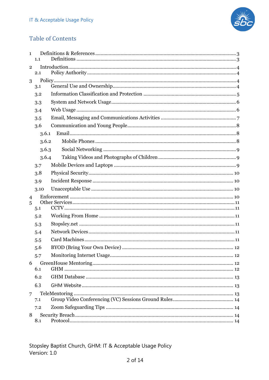

# **Table of Contents**

| $\mathbf{1}$   | 1.1   |  |
|----------------|-------|--|
| $\overline{2}$ |       |  |
|                | 2.1   |  |
| 3              |       |  |
|                | 3.1   |  |
|                | 3.2   |  |
|                | 3.3   |  |
|                | 3.4   |  |
|                | 3.5   |  |
|                | 3.6   |  |
|                | 3.6.1 |  |
|                | 3.6.2 |  |
|                | 3.6.3 |  |
|                | 3.6.4 |  |
|                | 3.7   |  |
|                | 3.8   |  |
|                | 3.9   |  |
|                | 3.10  |  |
| $\overline{4}$ |       |  |
| 5              |       |  |
|                | 5.1   |  |
|                | 5.2   |  |
|                | 5.3   |  |
|                | 5.4   |  |
|                | 5.5   |  |
|                | 5.6   |  |
|                | 5.7   |  |
| 6              | 6.1   |  |
|                | 6.2   |  |
|                | 6.3   |  |
| 7              |       |  |
|                | 7.1   |  |
|                | 7.2   |  |
| 8              |       |  |
|                | 8.1   |  |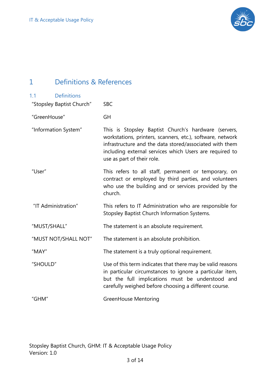

# 1 Definitions & References

| <b>Definitions</b><br>1.1 |                                                                                                                                                                                                                                                                        |
|---------------------------|------------------------------------------------------------------------------------------------------------------------------------------------------------------------------------------------------------------------------------------------------------------------|
| "Stopsley Baptist Church" | <b>SBC</b>                                                                                                                                                                                                                                                             |
| "GreenHouse"              | <b>GH</b>                                                                                                                                                                                                                                                              |
| "Information System"      | This is Stopsley Baptist Church's hardware (servers,<br>workstations, printers, scanners, etc.), software, network<br>infrastructure and the data stored/associated with them<br>including external services which Users are required to<br>use as part of their role. |
| "User"                    | This refers to all staff, permanent or temporary, on<br>contract or employed by third parties, and volunteers<br>who use the building and or services provided by the<br>church.                                                                                       |
| "IT Administration"       | This refers to IT Administration who are responsible for<br>Stopsley Baptist Church Information Systems.                                                                                                                                                               |
| "MUST/SHALL"              | The statement is an absolute requirement.                                                                                                                                                                                                                              |
| "MUST NOT/SHALL NOT"      | The statement is an absolute prohibition.                                                                                                                                                                                                                              |
| "MAY"                     | The statement is a truly optional requirement.                                                                                                                                                                                                                         |
| "SHOULD"                  | Use of this term indicates that there may be valid reasons<br>in particular circumstances to ignore a particular item,<br>but the full implications must be understood and<br>carefully weighed before choosing a different course.                                    |
| "GHM"                     | <b>GreenHouse Mentoring</b>                                                                                                                                                                                                                                            |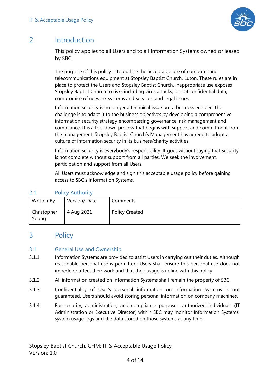

# 2 Introduction

This policy applies to all Users and to all Information Systems owned or leased by SBC.

The purpose of this policy is to outline the acceptable use of computer and telecommunications equipment at Stopsley Baptist Church, Luton. These rules are in place to protect the Users and Stopsley Baptist Church. Inappropriate use exposes Stopsley Baptist Church to risks including virus attacks, loss of confidential data, compromise of network systems and services, and legal issues.

Information security is no longer a technical issue but a business enabler. The challenge is to adapt it to the business objectives by developing a comprehensive information security strategy encompassing governance, risk management and compliance. It is a top-down process that begins with support and commitment from the management. Stopsley Baptist Church's Management has agreed to adopt a culture of information security in its business/charity activities.

Information security is everybody's responsibility. It goes without saying that security is not complete without support from all parties. We seek the involvement, participation and support from all Users.

All Users must acknowledge and sign this acceptable usage policy before gaining access to SBC's Information Systems.

# 2.1 Policy Authority

| Written By           | Version/Date | Comments              |
|----------------------|--------------|-----------------------|
| Christopher<br>Young | 4 Aug 2021   | <b>Policy Created</b> |

# 3 Policy

## 3.1 General Use and Ownership

- 3.1.1 Information Systems are provided to assist Users in carrying out their duties. Although reasonable personal use is permitted, Users shall ensure this personal use does not impede or affect their work and that their usage is in line with this policy.
- 3.1.2 All information created on Information Systems shall remain the property of SBC.
- 3.1.3 Confidentiality of User's personal information on Information Systems is not guaranteed. Users should avoid storing personal information on company machines.
- 3.1.4 For security, administration, and compliance purposes, authorized individuals (IT Administration or Executive Director) within SBC may monitor Information Systems, system usage logs and the data stored on those systems at any time.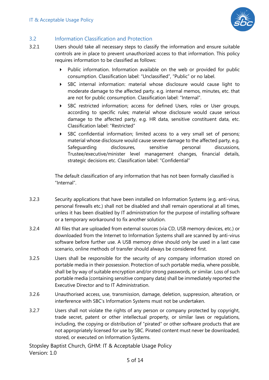

# 3.2 Information Classification and Protection

- 3.2.1 Users should take all necessary steps to classify the information and ensure suitable controls are in place to prevent unauthorized access to that information. This policy requires information to be classified as follows:
	- Public information. Information available on the web or provided for public consumption. Classification label: "Unclassified", "Public" or no label.
	- 4 SBC internal information: material whose disclosure would cause light to moderate damage to the affected party. e.g. internal memos, minutes, etc. that are not for public consumption. Classification label: "Internal".
	- 4 SBC restricted information; access for defined Users, roles or User groups, according to specific rules; material whose disclosure would cause serious damage to the affected party, e.g. HR data, sensitive constituent data, etc. Classification label: "Restricted"
	- 4 SBC confidential information; limited access to a very small set of persons; material whose disclosure would cause severe damage to the affected party, e.g. Safeguarding disclosures, sensitive personal discussions, Trustee/executive/minister level management changes, financial details, strategic decisions etc. Classification label: "Confidential"

The default classification of any information that has not been formally classified is "Internal".

- 3.2.3 Security applications that have been installed on Information Systems (e.g. anti-virus, personal firewalls etc.) shall not be disabled and shall remain operational at all times, unless it has been disabled by IT administration for the purpose of installing software or a temporary workaround to fix another solution.
- 3.2.4 All files that are uploaded from external sources (via CD, USB memory devices, etc.) or downloaded from the Internet to Information Systems shall are scanned by anti-virus software before further use. A USB memory drive should only be used in a last case scenario, online methods of transfer should always be considered first.
- 3.2.5 Users shall be responsible for the security of any company information stored on portable media in their possession. Protection of such portable media, where possible, shall be by way of suitable encryption and/or strong passwords, or similar. Loss of such portable media (containing sensitive company data) shall be immediately reported the Executive Director and to IT Administration.
- 3.2.6 Unauthorised access, use, transmission, damage, deletion, suppression, alteration, or interference with SBC's Information Systems must not be undertaken.
- 3.2.7 Users shall not violate the rights of any person or company protected by copyright, trade secret, patent or other intellectual property, or similar laws or regulations, including, the copying or distribution of "pirated" or other software products that are not appropriately licensed for use by SBC. Pirated content must never be downloaded, stored, or executed on Information Systems.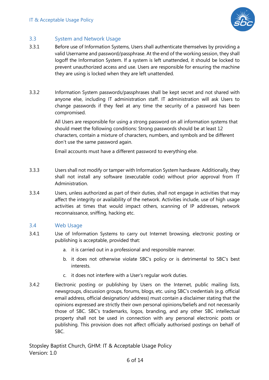

#### 3.3 System and Network Usage

- 3.3.1 Before use of Information Systems, Users shall authenticate themselves by providing a valid Username and password/passphrase. At the end of the working session, they shall logoff the Information System. If a system is left unattended, it should be locked to prevent unauthorized access and use. Users are responsible for ensuring the machine they are using is locked when they are left unattended.
- 3.3.2 Information System passwords/passphrases shall be kept secret and not shared with anyone else, including IT administration staff. IT administration will ask Users to change passwords if they feel at any time the security of a password has been compromised.

All Users are responsible for using a strong password on all information systems that should meet the following conditions: Strong passwords should be at least 12 characters, contain a mixture of characters, numbers, and symbols and be different don't use the same password again.

Email accounts must have a different password to everything else.

- 3.3.3 Users shall not modify or tamper with Information System hardware. Additionally, they shall not install any software (executable code) without prior approval from IT Administration.
- 3.3.4 Users, unless authorized as part of their duties, shall not engage in activities that may affect the integrity or availability of the network. Activities include, use of high usage activities at times that would impact others, scanning of IP addresses, network reconnaissance, sniffing, hacking etc.

#### 3.4 Web Usage

- 3.4.1 Use of Information Systems to carry out Internet browsing, electronic posting or publishing is acceptable, provided that:
	- a. it is carried out in a professional and responsible manner.
	- b. it does not otherwise violate SBC's policy or is detrimental to SBC's best interests.
	- c. it does not interfere with a User's regular work duties.
- 3.4.2 Electronic posting or publishing by Users on the Internet, public mailing lists, newsgroups, discussion groups, forums, blogs, etc. using SBC's credentials (e.g. official email address, official designation/ address) must contain a disclaimer stating that the opinions expressed are strictly their own personal opinions/beliefs and not necessarily those of SBC. SBC's trademarks, logos, branding, and any other SBC intellectual property shall not be used in connection with any personal electronic posts or publishing. This provision does not affect officially authorised postings on behalf of SBC.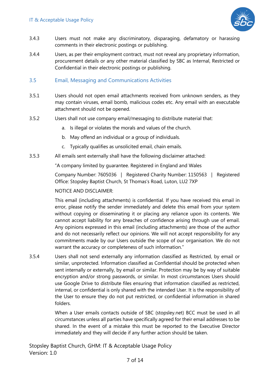

- 3.4.3 Users must not make any discriminatory, disparaging, defamatory or harassing comments in their electronic postings or publishing.
- 3.4.4 Users, as per their employment contract, must not reveal any proprietary information, procurement details or any other material classified by SBC as Internal, Restricted or Confidential in their electronic postings or publishing.

#### 3.5 Email, Messaging and Communications Activities

- 3.5.1 Users should not open email attachments received from unknown senders, as they may contain viruses, email bomb, malicious codes etc. Any email with an executable attachment should not be opened.
- 3.5.2 Users shall not use company email/messaging to distribute material that:
	- a. Is illegal or violates the morals and values of the church.
	- b. May offend an individual or a group of individuals.
	- c. Typically qualifies as unsolicited email, chain emails.
- 3.5.3 All emails sent externally shall have the following disclaimer attached:

"A company limited by guarantee. Registered in England and Wales

Company Number: 7605036 | Registered Charity Number: 1150563 | Registered Office: Stopsley Baptist Church, St Thomas's Road, Luton, LU2 7XP

#### NOTICE AND DISCLAIMER:

This email (including attachments) is confidential. If you have received this email in error, please notify the sender immediately and delete this email from your system without copying or disseminating it or placing any reliance upon its contents. We cannot accept liability for any breaches of confidence arising through use of email. Any opinions expressed in this email (including attachments) are those of the author and do not necessarily reflect our opinions. We will not accept responsibility for any commitments made by our Users outside the scope of our organisation. We do not warrant the accuracy or completeness of such information."

3.5.4 Users shall not send externally any information classified as Restricted, by email or similar, unprotected. Information classified as Confidential should be protected when sent internally or externally, by email or similar. Protection may be by way of suitable encryption and/or strong passwords, or similar. In most circumstances Users should use Google Drive to distribute files ensuring that information classified as restricted, internal, or confidential is only shared with the intended User. It is the responsibility of the User to ensure they do not put restricted, or confidential information in shared folders.

> When a User emails contacts outside of SBC (stopsley.net) BCC must be used in all circumstances unless all parties have specifically agreed for their email addresses to be shared. In the event of a mistake this must be reported to the Executive Director immediately and they will decide if any further action should be taken.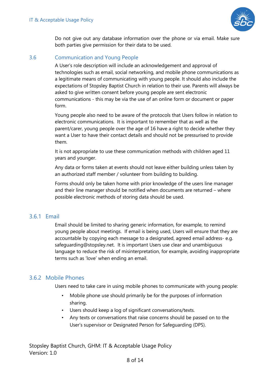

Do not give out any database information over the phone or via email. Make sure both parties give permission for their data to be used.

## 3.6 Communication and Young People

A User's role description will include an acknowledgement and approval of technologies such as email, social networking, and mobile phone communications as a legitimate means of communicating with young people. It should also include the expectations of Stopsley Baptist Church in relation to their use. Parents will always be asked to give written consent before young people are sent electronic communications - this may be via the use of an online form or document or paper form.

Young people also need to be aware of the protocols that Users follow in relation to electronic communications. It is important to remember that as well as the parent/carer, young people over the age of 16 have a right to decide whether they want a User to have their contact details and should not be pressurised to provide them.

It is not appropriate to use these communication methods with children aged 11 years and younger.

Any data or forms taken at events should not leave either building unless taken by an authorized staff member / volunteer from building to building.

Forms should only be taken home with prior knowledge of the users line manager and their line manager should be notified when documents are returned – where possible electronic methods of storing data should be used.

# 3.6.1 Email

Email should be limited to sharing generic information, for example, to remind young people about meetings. If email is being used, Users will ensure that they are accountable by copying each message to a designated, agreed email address- e.g. safeguarding@stopsley.net. It is important Users use clear and unambiguous language to reduce the risk of misinterpretation, for example, avoiding inappropriate terms such as 'love' when ending an email.

# 3.6.2 Mobile Phones

Users need to take care in using mobile phones to communicate with young people:

- Mobile phone use should primarily be for the purposes of information sharing.
- Users should keep a log of significant conversations/texts.
- Any texts or conversations that raise concerns should be passed on to the User's supervisor or Designated Person for Safeguarding (DPS).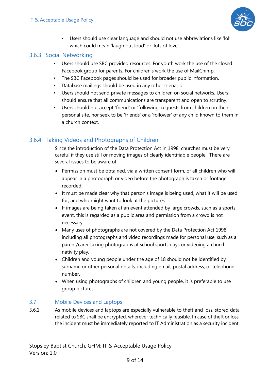

• Users should use clear language and should not use abbreviations like 'lol' which could mean 'laugh out loud' or 'lots of love'.

# 3.6.3 Social Networking

- Users should use SBC provided resources. For youth work the use of the closed Facebook group for parents. For children's work the use of MailChimp.
- The SBC Facebook pages should be used for broader public information.
- Database mailings should be used in any other scenario.
- Users should not send private messages to children on social networks. Users should ensure that all communications are transparent and open to scrutiny.
- Users should not accept 'friend' or 'following' requests from children on their personal site, nor seek to be 'friends' or a 'follower' of any child known to them in a church context.

# 3.6.4 Taking Videos and Photographs of Children

Since the introduction of the Data Protection Act in 1998, churches must be very careful if they use still or moving images of clearly identifiable people. There are several issues to be aware of:

- Permission must be obtained, via a written consent form, of all children who will appear in a photograph or video before the photograph is taken or footage recorded.
- It must be made clear why that person's image is being used, what it will be used for, and who might want to look at the pictures.
- If images are being taken at an event attended by large crowds, such as a sports event, this is regarded as a public area and permission from a crowd is not necessary.
- Many uses of photographs are not covered by the Data Protection Act 1998, including all photographs and video recordings made for personal use, such as a parent/carer taking photographs at school sports days or videoing a church nativity play.
- Children and young people under the age of 18 should not be identified by surname or other personal details, including email, postal address, or telephone number.
- When using photographs of children and young people, it is preferable to use group pictures.

## 3.7 Mobile Devices and Laptops

3.6.1 As mobile devices and laptops are especially vulnerable to theft and loss, stored data related to SBC shall be encrypted, wherever technically feasible. In case of theft or loss, the incident must be immediately reported to IT Administration as a security incident.

9 of 14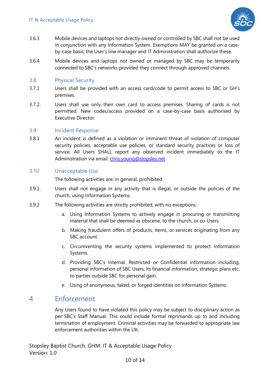

- 3.6.3 Mobile devices and laptops not directly owned or controlled by SBC shall not be used in conjunction with any Information System. Exemptions MAY be granted on a caseby-case basis; the User's line manager and IT Administration shall authorize these.
- 3.6.4 Mobile devices and laptops not owned or managed by SBC may be temporarily connected to SBC's networks provided they connect through approved channels.

#### 3.8 Physical Security

- 3.7.1 Users shall be provided with an access card/code to permit access to SBC or GH's premises.
- 3.7.2. Users shall use only their own card to access premises. Sharing of cards is not permitted. New codes/access provided on a case-by-case basis authorised by Executive Director.

#### 3.9 Incident Response

3.8.1 An incident is defined as a violation or imminent threat of violation of computer security policies, acceptable use policies, or standard security practices or loss of service. All Users SHALL report any observed incident immediately to the IT Administration via email: chris.young@stopsley.net

#### 3.10 Unacceptable Use

The following activities are, in general, prohibited:

- 3.9.1. Users shall not engage in any activity that is illegal, or outside the policies of the church, using Information Systems.
- 3.9.2 The following activities are strictly prohibited, with no exceptions:
	- a. Using Information Systems to actively engage in procuring or transmitting material that shall be deemed as obscene, to the church, or co-Users.
	- b. Making fraudulent offers of products, items, or services originating from any SBC account.
	- c. Circumventing the security systems implemented to protect Information Systems.
	- d. Providing SBC's Internal, Restricted or Confidential information including, personal information of SBC Users, its financial information, strategic plans etc. to parties outside SBC for personal gain.
	- e. Using of anonymous, faked, or forged identities on Information Systems.

# 4 Enforcement

Any Users found to have violated this policy may be subject to disciplinary action as per SBC's Staff Manual. This could include formal reprimands up to and including termination of employment. Criminal activities may be forwarded to appropriate law enforcement authorities within the UK.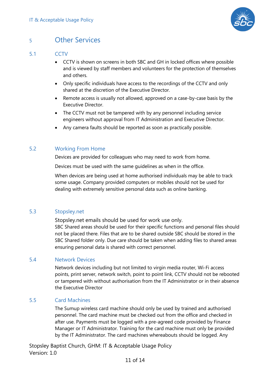

# <sup>5</sup> Other Services

## 5.1 CCTV

- CCTV is shown on screens in both SBC and GH in locked offices where possible and is viewed by staff members and volunteers for the protection of themselves and others.
- Only specific individuals have access to the recordings of the CCTV and only shared at the discretion of the Executive Director.
- Remote access is usually not allowed, approved on a case-by-case basis by the Executive Director.
- The CCTV must not be tampered with by any personnel including service engineers without approval from IT Administration and Executive Director.
- Any camera faults should be reported as soon as practically possible.

## 5.2 Working From Home

Devices are provided for colleagues who may need to work from home.

Devices must be used with the same guidelines as when in the office.

When devices are being used at home authorised individuals may be able to track some usage. Company provided computers or mobiles should not be used for dealing with extremely sensitive personal data such as online banking.

## 5.3 Stopsley.net

Stopsley.net emails should be used for work use only. SBC Shared areas should be used for their specific functions and personal files should not be placed there. Files that are to be shared outside SBC should be stored in the SBC Shared folder only. Due care should be taken when adding files to shared areas ensuring personal data is shared with correct personnel.

#### 5.4 Network Devices

Network devices including but not limited to virgin media router, Wi-Fi access points, print server, network switch, point to point link, CCTV should not be rebooted or tampered with without authorisation from the IT Administrator or in their absence the Executive Director

#### 5.5 Card Machines

The Sumup wireless card machine should only be used by trained and authorised personnel. The card machine must be checked out from the office and checked in after use. Payments must be logged with a pre-agreed code provided by Finance Manager or IT Administrator. Training for the card machine must only be provided by the IT Administrator. The card machines whereabouts should be logged. Any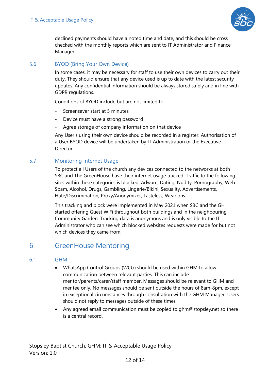

declined payments should have a noted time and date, and this should be cross checked with the monthly reports which are sent to IT Administrator and Finance Manager.

## 5.6 BYOD (Bring Your Own Device)

In some cases, it may be necessary for staff to use their own devices to carry out their duty. They should ensure that any device used is up to date with the latest security updates. Any confidential information should be always stored safely and in line with GDPR regulations.

Conditions of BYOD include but are not limited to:

- Screensaver start at 5 minutes
- Device must have a strong password
- Agree storage of company information on that device

Any User's using their own device should be recorded in a register. Authorisation of a User BYOD device will be undertaken by IT Administration or the Executive **Director** 

# 5.7 Monitoring Internet Usage

To protect all Users of the church any devices connected to the networks at both SBC and The GreenHouse have their internet usage tracked. Traffic to the following sites within these categories is blocked: Adware, Dating, Nudity, Pornography, Web Spam, Alcohol, Drugs, Gambling, Lingerie/Bikini, Sexuality, Advertisements, Hate/Discrimination, Proxy/Anonymizer, Tasteless, Weapons.

This tracking and block were implemented in May 2021 when SBC and the GH started offering Guest WiFi throughout both buildings and in the neighbouring Community Garden. Tracking data is anonymous and is only visible to the IT Administrator who can see which blocked websites requests were made for but not which devices they came from.

# 6 GreenHouse Mentoring

## 6.1 GHM

- WhatsApp Control Groups (WCG) should be used within GHM to allow communication between relevant parties. This can include mentor/parents/carer/staff member. Messages should be relevant to GHM and mentee only. No messages should be sent outside the hours of 8am-8pm, except in exceptional circumstances through consultation with the GHM Manager. Users should not reply to messages outside of these times.
- Any agreed email communication must be copied to ghm@stopsley.net so there is a central record.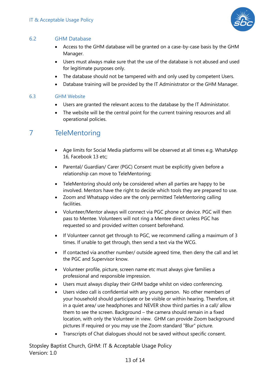

#### 6.2 GHM Database

- Access to the GHM database will be granted on a case-by-case basis by the GHM Manager.
- Users must always make sure that the use of the database is not abused and used for legitimate purposes only.
- The database should not be tampered with and only used by competent Users.
- Database training will be provided by the IT Administrator or the GHM Manager.

#### 6.3 GHM Website

- Users are granted the relevant access to the database by the IT Administator.
- The website will be the central point for the current training resources and all operational policies.

# 7 TeleMentoring

- Age limits for Social Media platforms will be observed at all times e.g. WhatsApp 16, Facebook 13 etc;
- Parental/ Guardian/ Carer (PGC) Consent must be explicitly given before a relationship can move to TeleMentoring;
- TeleMentoring should only be considered when all parties are happy to be involved. Mentors have the right to decide which tools they are prepared to use.
- Zoom and Whatsapp video are the only permitted TeleMentoring calling facilities.
- Volunteer/Mentor always will connect via PGC phone or device. PGC will then pass to Mentee. Volunteers will not ring a Mentee direct unless PGC has requested so and provided written consent beforehand.
- If Volunteer cannot get through to PGC, we recommend calling a maximum of 3 times. If unable to get through, then send a text via the WCG.
- If contacted via another number/ outside agreed time, then deny the call and let the PGC and Supervisor know.
- Volunteer profile, picture, screen name etc must always give families a professional and responsible impression.
- Users must always display their GHM badge whilst on video conferencing.
- Users video call is confidential with any young person. No other members of your household should participate or be visible or within hearing. Therefore, sit in a quiet area/ use headphones and NEVER show third parties in a call/ allow them to see the screen. Background – the camera should remain in a fixed location, with only the Volunteer in view. GHM can provide Zoom background pictures If required or you may use the Zoom standard "Blur" picture.
- Transcripts of Chat dialogues should not be saved without specific consent.